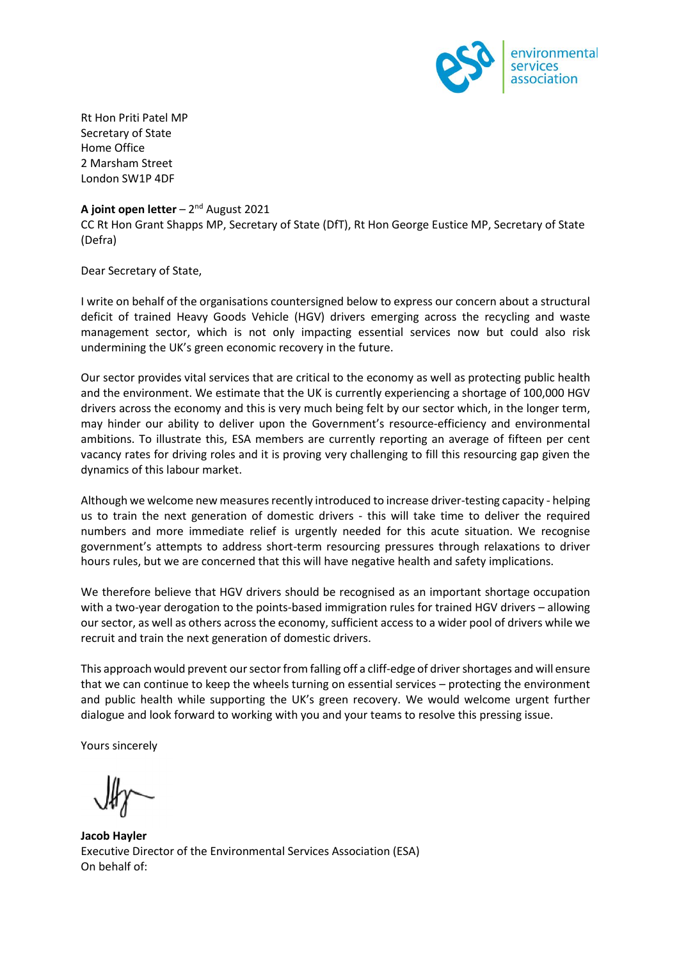

Rt Hon Priti Patel MP Secretary of State Home Office 2 Marsham Street London SW1P 4DF

## **A joint open letter** – 2<sup>nd</sup> August 2021

CC Rt Hon Grant Shapps MP, Secretary of State (DfT), Rt Hon George Eustice MP, Secretary of State (Defra)

Dear Secretary of State,

I write on behalf of the organisations countersigned below to express our concern about a structural deficit of trained Heavy Goods Vehicle (HGV) drivers emerging across the recycling and waste management sector, which is not only impacting essential services now but could also risk undermining the UK's green economic recovery in the future.

Our sector provides vital services that are critical to the economy as well as protecting public health and the environment. We estimate that the UK is currently experiencing a shortage of 100,000 HGV drivers across the economy and this is very much being felt by our sector which, in the longer term, may hinder our ability to deliver upon the Government's resource-efficiency and environmental ambitions. To illustrate this, ESA members are currently reporting an average of fifteen per cent vacancy rates for driving roles and it is proving very challenging to fill this resourcing gap given the dynamics of this labour market.

Although we welcome new measures recently introduced to increase driver-testing capacity - helping us to train the next generation of domestic drivers - this will take time to deliver the required numbers and more immediate relief is urgently needed for this acute situation. We recognise government's attempts to address short-term resourcing pressures through relaxations to driver hours rules, but we are concerned that this will have negative health and safety implications.

We therefore believe that HGV drivers should be recognised as an important shortage occupation with a two-year derogation to the points-based immigration rules for trained HGV drivers – allowing our sector, as well as others across the economy, sufficient access to a wider pool of drivers while we recruit and train the next generation of domestic drivers.

This approach would prevent our sector from falling off a cliff-edge of driver shortages and will ensure that we can continue to keep the wheels turning on essential services – protecting the environment and public health while supporting the UK's green recovery. We would welcome urgent further dialogue and look forward to working with you and your teams to resolve this pressing issue.

Yours sincerely

**Jacob Hayler** Executive Director of the Environmental Services Association (ESA) On behalf of: